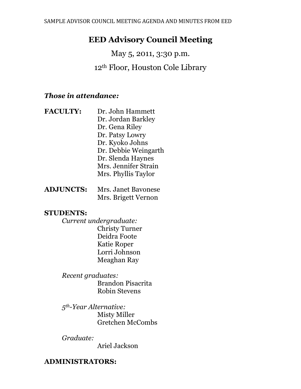# **EED Advisory Council Meeting**

May 5, 2011, 3:30 p.m. 12th Floor, Houston Cole Library

## *Those in attendance:*

**FACULTY:** Dr. John Hammett Dr. Jordan Barkley Dr. Gena Riley Dr. Patsy Lowry Dr. Kyoko Johns Dr. Debbie Weingarth Dr. Slenda Haynes Mrs. Jennifer Strain Mrs. Phyllis Taylor

| <b>ADJUNCTS:</b> | Mrs. Janet Bavonese |
|------------------|---------------------|
|                  | Mrs. Brigett Vernon |

### **STUDENTS:**

*Current undergraduate:* Christy Turner Deidra Foote Katie Roper Lorri Johnson Meaghan Ray

*Recent graduates:* Brandon Pisacrita Robin Stevens

*5th-Year Alternative:* Misty Miller Gretchen McCombs

*Graduate:*

Ariel Jackson

## **ADMINISTRATORS:**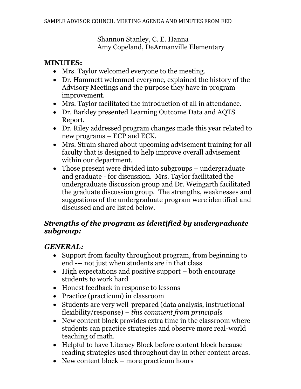Shannon Stanley, C. E. Hanna Amy Copeland, DeArmanville Elementary

## **MINUTES:**

- Mrs. Taylor welcomed everyone to the meeting.
- Dr. Hammett welcomed everyone, explained the history of the Advisory Meetings and the purpose they have in program improvement.
- Mrs. Taylor facilitated the introduction of all in attendance.
- Dr. Barkley presented Learning Outcome Data and AQTS Report.
- Dr. Riley addressed program changes made this year related to new programs – ECP and ECK.
- Mrs. Strain shared about upcoming advisement training for all faculty that is designed to help improve overall advisement within our department.
- Those present were divided into subgroups undergraduate and graduate - for discussion. Mrs. Taylor facilitated the undergraduate discussion group and Dr. Weingarth facilitated the graduate discussion group. The strengths, weaknesses and suggestions of the undergraduate program were identified and discussed and are listed below.

# *Strengths of the program as identified by undergraduate subgroup:*

# *GENERAL:*

- Support from faculty throughout program, from beginning to end --- not just when students are in that class
- $\bullet$  High expectations and positive support both encourage students to work hard
- Honest feedback in response to lessons
- Practice (practicum) in classroom
- Students are very well-prepared (data analysis, instructional flexibility/response) *– this comment from principals*
- New content block provides extra time in the classroom where students can practice strategies and observe more real-world teaching of math.
- Helpful to have Literacy Block before content block because reading strategies used throughout day in other content areas.
- New content block more practicum hours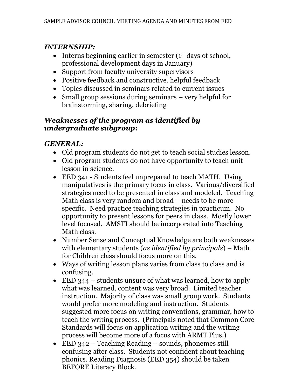## *INTERNSHIP:*

- $\bullet$  Interns beginning earlier in semester ( $1<sup>st</sup>$  days of school, professional development days in January)
- Support from faculty university supervisors
- Positive feedback and constructive, helpful feedback
- Topics discussed in seminars related to current issues
- Small group sessions during seminars very helpful for brainstorming, sharing, debriefing

## *Weaknesses of the program as identified by undergraduate subgroup:*

# *GENERAL:*

- Old program students do not get to teach social studies lesson.
- Old program students do not have opportunity to teach unit lesson in science.
- EED 341 Students feel unprepared to teach MATH. Using manipulatives is the primary focus in class. Various/diversified strategies need to be presented in class and modeled. Teaching Math class is very random and broad – needs to be more specific. Need practice teaching strategies in practicum. No opportunity to present lessons for peers in class. Mostly lower level focused. AMSTI should be incorporated into Teaching Math class.
- Number Sense and Conceptual Knowledge are both weaknesses with elementary students (*as identified by principals*) – Math for Children class should focus more on this.
- Ways of writing lesson plans varies from class to class and is confusing.
- EED 344 students unsure of what was learned, how to apply what was learned, content was very broad. Limited teacher instruction. Majority of class was small group work. Students would prefer more modeling and instruction. Students suggested more focus on writing conventions, grammar, how to teach the writing process. (Principals noted that Common Core Standards will focus on application writing and the writing process will become more of a focus with ARMT Plus.)
- EED 342 Teaching Reading sounds, phonemes still confusing after class. Students not confident about teaching phonics. Reading Diagnosis (EED 354) should be taken BEFORE Literacy Block.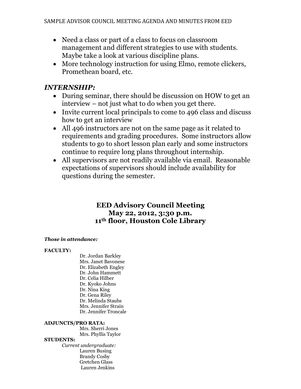- Need a class or part of a class to focus on classroom management and different strategies to use with students. Maybe take a look at various discipline plans.
- More technology instruction for using Elmo, remote clickers, Promethean board, etc.

## *INTERNSHIP:*

- During seminar, there should be discussion on HOW to get an interview – not just what to do when you get there.
- Invite current local principals to come to 496 class and discuss how to get an interview
- All 496 instructors are not on the same page as it related to requirements and grading procedures. Some instructors allow students to go to short lesson plan early and some instructors continue to require long plans throughout internship.
- All supervisors are not readily available via email. Reasonable expectations of supervisors should include availability for questions during the semester.

### **EED Advisory Council Meeting May 22, 2012, 3:30 p.m. 11th floor, Houston Cole Library**

### *Those in attendance:*

### **FACULTY:**

Dr. Jordan Barkley Mrs. Janet Bavonese Dr. Elizabeth Engley Dr. John Hammett Dr. Celia Hilber Dr. Kyoko Johns Dr. Nina King Dr. Gena Riley Dr. Melinda Staubs Mrs. Jennifer Strain Dr. Jennifer Troncale

### **ADJUNCTS/PRO RATA:**

Mrs. Sherri Jones Mrs. Phyllis Taylor

### **STUDENTS:**

*Current undergraduate:*  Lauren Busing Brandy Cosby Gretchen Glass Lauren Jenkins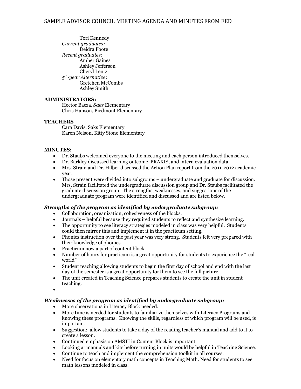Tori Kennedy *Current graduates:* Deidra Foote *Recent graduates:*  Amber Gaines Ashley Jefferson Cheryl Lentz *5th-year Alternative:*  Gretchen McCombs Ashley Smith

### **ADMINISTRATORS:**

Hector Baeza, *Saks* Elementary Chris Hanson, Piedmont Elementary

### **TEACHERS**

Cara Davis, Saks Elementary Karen Nelson, Kitty Stone Elementary

#### **MINUTES:**

- Dr. Staubs welcomed everyone to the meeting and each person introduced themselves.
- Dr. Barkley discussed learning outcome, PRAXIS, and intern evaluation data.
- Mrs. Strain and Dr. Hilber discussed the Action Plan report from the 2011-2012 academic year.
- Those present were divided into subgroups undergraduate and graduate for discussion. Mrs. Strain facilitated the undergraduate discussion group and Dr. Staubs facilitated the graduate discussion group. The strengths, weaknesses, and suggestions of the undergraduate program were identified and discussed and are listed below.

### *Strengths of the program as identified by undergraduate subgroup:*

- Collaboration, organization, cohesiveness of the blocks.
- Journals helpful because they required students to reflect and synthesize learning.
- The opportunity to see literacy strategies modeled in class was very helpful. Students could then mirror this and implement it in the practicum setting.
- Phonics instruction over the past year was very strong. Students felt very prepared with their knowledge of phonics.
- Practicum now a part of content block
- Number of hours for practicum is a great opportunity for students to experience the "real world"
- Student teaching allowing students to begin the first day of school and end with the last day of the semester is a great opportunity for them to see the full picture.
- The unit created in Teaching Science prepares students to create the unit in student teaching.

#### *Weaknesses of the program as identified by undergraduate subgroup:*

- More observations in Literacy Block needed.
- More time is needed for students to familiarize themselves with Literacy Programs and knowing these programs. Knowing the skills, regardless of which program will be used, is important.
- Suggestion: allow students to take a day of the reading teacher's manual and add to it to create a lesson.
- Continued emphasis on AMSTI in Content Block is important.
- Looking at manuals and kits before turning in units would be helpful in Teaching Science.
- Continue to teach and implement the comprehension toolkit in all courses.
- Need for focus on elementary math concepts in Teaching Math. Need for students to see math lessons modeled in class.

 $\bullet$